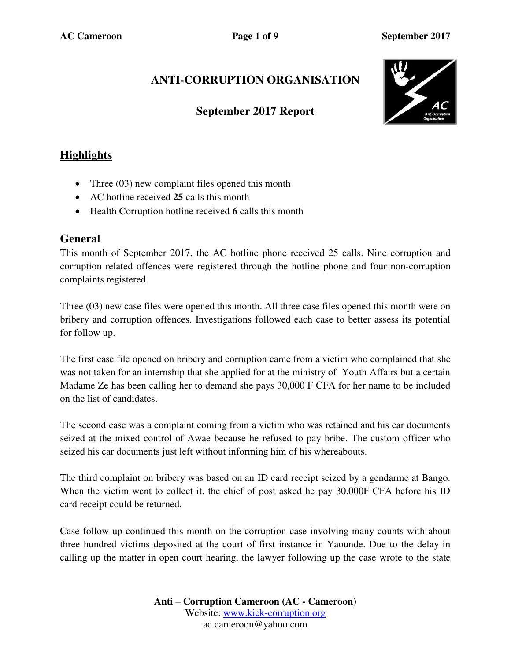# **ANTI-CORRUPTION ORGANISATION**

### **September 2017 Report**



## **Highlights**

- Three (03) new complaint files opened this month
- AC hotline received **25** calls this month
- Health Corruption hotline received **6** calls this month

#### **General**

This month of September 2017, the AC hotline phone received 25 calls. Nine corruption and corruption related offences were registered through the hotline phone and four non-corruption complaints registered.

Three (03) new case files were opened this month. All three case files opened this month were on bribery and corruption offences. Investigations followed each case to better assess its potential for follow up.

The first case file opened on bribery and corruption came from a victim who complained that she was not taken for an internship that she applied for at the ministry of Youth Affairs but a certain Madame Ze has been calling her to demand she pays 30,000 F CFA for her name to be included on the list of candidates.

The second case was a complaint coming from a victim who was retained and his car documents seized at the mixed control of Awae because he refused to pay bribe. The custom officer who seized his car documents just left without informing him of his whereabouts.

The third complaint on bribery was based on an ID card receipt seized by a gendarme at Bango. When the victim went to collect it, the chief of post asked he pay 30,000F CFA before his ID card receipt could be returned.

Case follow-up continued this month on the corruption case involving many counts with about three hundred victims deposited at the court of first instance in Yaounde. Due to the delay in calling up the matter in open court hearing, the lawyer following up the case wrote to the state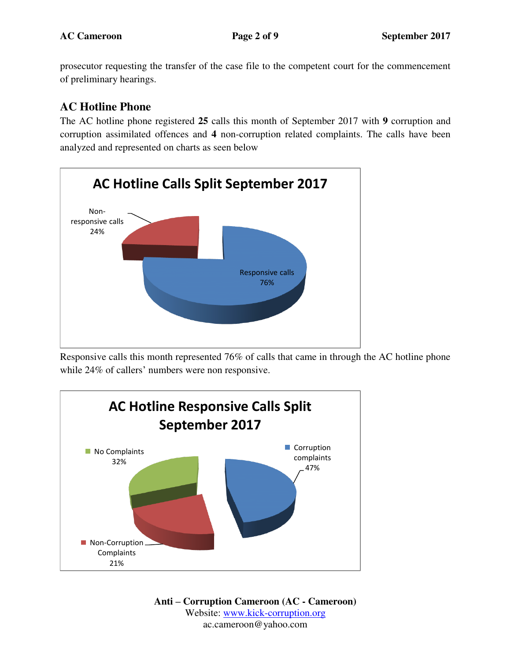prosecutor requesting the transfer of the case file to the competent court for the commencement of preliminary hearings.

## **AC Hotline Phone**

The AC hotline phone registered **25** calls this month of September 2017 with **9** corruption and corruption assimilated offences and **4** non-corruption related complaints. The calls have been analyzed and represented on charts as seen below



Responsive calls this month represented 76% of calls that came in through the AC hotline phone while 24% of callers' numbers were non responsive.



**Anti – Corruption Cameroon (AC - Cameroon)** Website: [www.kick-corruption.org](http://www.kick-corruption.org/) ac.cameroon@yahoo.com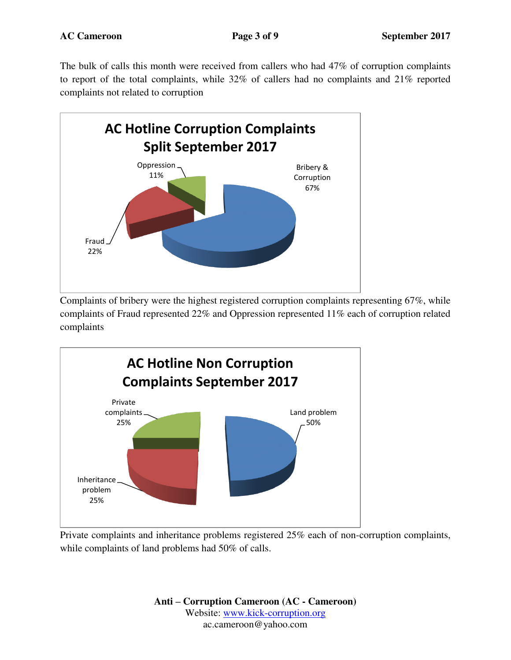The bulk of calls this month were received from callers who had 47% of corruption complaints to report of the total complaints, while 32% of callers had no complaints and 21% reported complaints not related to corruption



Complaints of bribery were the highest registered corruption complaints representing 67%, while complaints of Fraud represented 22% and Oppression represented 11% each of corruption related complaints



Private complaints and inheritance problems registered 25% each of non-corruption complaints, while complaints of land problems had 50% of calls.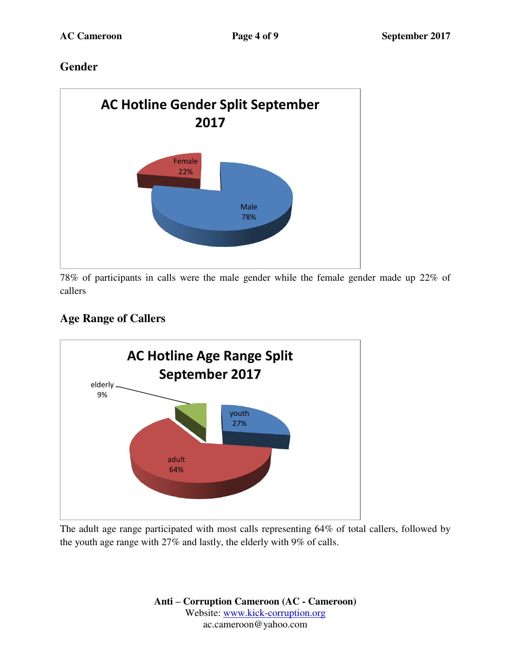### **Gender**



78% of participants in calls were the male gender while the female gender made up 22% of callers

# **Age Range of Callers**



The adult age range participated with most calls representing 64% of total callers, followed by the youth age range with 27% and lastly, the elderly with 9% of calls.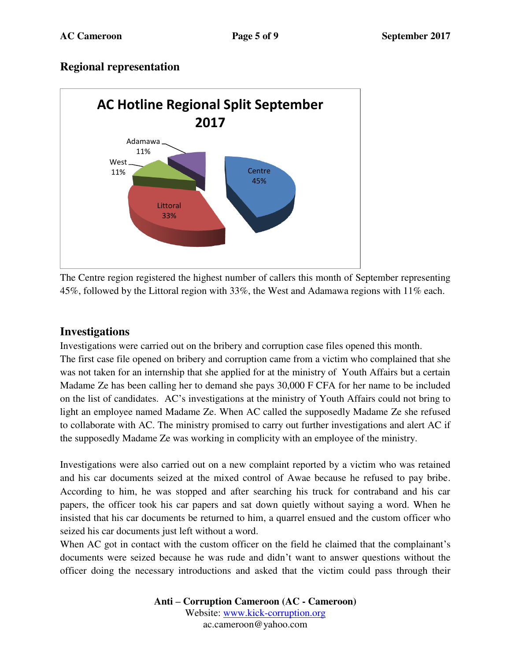### **Regional representation**



The Centre region registered the highest number of callers this month of September representing 45%, followed by the Littoral region with 33%, the West and Adamawa regions with 11% each.

#### **Investigations**

Investigations were carried out on the bribery and corruption case files opened this month. The first case file opened on bribery and corruption came from a victim who complained that she was not taken for an internship that she applied for at the ministry of Youth Affairs but a certain Madame Ze has been calling her to demand she pays 30,000 F CFA for her name to be included on the list of candidates. AC's investigations at the ministry of Youth Affairs could not bring to light an employee named Madame Ze. When AC called the supposedly Madame Ze she refused to collaborate with AC. The ministry promised to carry out further investigations and alert AC if the supposedly Madame Ze was working in complicity with an employee of the ministry.

Investigations were also carried out on a new complaint reported by a victim who was retained and his car documents seized at the mixed control of Awae because he refused to pay bribe. According to him, he was stopped and after searching his truck for contraband and his car papers, the officer took his car papers and sat down quietly without saying a word. When he insisted that his car documents be returned to him, a quarrel ensued and the custom officer who seized his car documents just left without a word.

When AC got in contact with the custom officer on the field he claimed that the complainant's documents were seized because he was rude and didn't want to answer questions without the officer doing the necessary introductions and asked that the victim could pass through their

> **Anti – Corruption Cameroon (AC - Cameroon)** Website: [www.kick-corruption.org](http://www.kick-corruption.org/) ac.cameroon@yahoo.com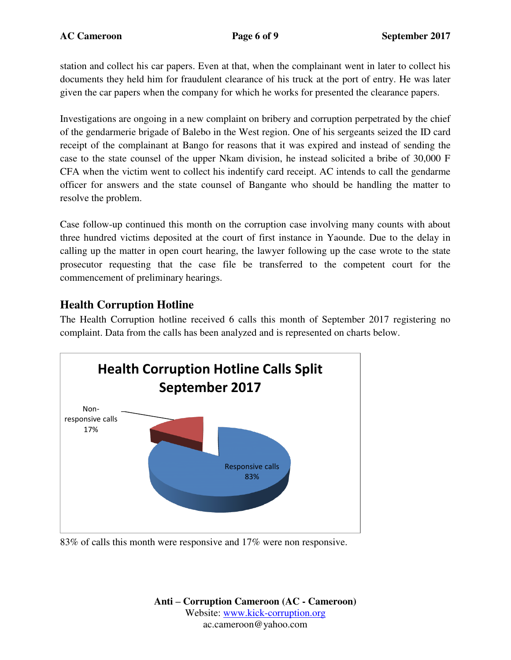station and collect his car papers. Even at that, when the complainant went in later to collect his documents they held him for fraudulent clearance of his truck at the port of entry. He was later given the car papers when the company for which he works for presented the clearance papers.

Investigations are ongoing in a new complaint on bribery and corruption perpetrated by the chief of the gendarmerie brigade of Balebo in the West region. One of his sergeants seized the ID card receipt of the complainant at Bango for reasons that it was expired and instead of sending the case to the state counsel of the upper Nkam division, he instead solicited a bribe of 30,000 F CFA when the victim went to collect his indentify card receipt. AC intends to call the gendarme officer for answers and the state counsel of Bangante who should be handling the matter to resolve the problem.

Case follow-up continued this month on the corruption case involving many counts with about three hundred victims deposited at the court of first instance in Yaounde. Due to the delay in calling up the matter in open court hearing, the lawyer following up the case wrote to the state prosecutor requesting that the case file be transferred to the competent court for the commencement of preliminary hearings.

### **Health Corruption Hotline**

The Health Corruption hotline received 6 calls this month of September 2017 registering no complaint. Data from the calls has been analyzed and is represented on charts below.



83% of calls this month were responsive and 17% were non responsive.

**Anti – Corruption Cameroon (AC - Cameroon)** Website: [www.kick-corruption.org](http://www.kick-corruption.org/) ac.cameroon@yahoo.com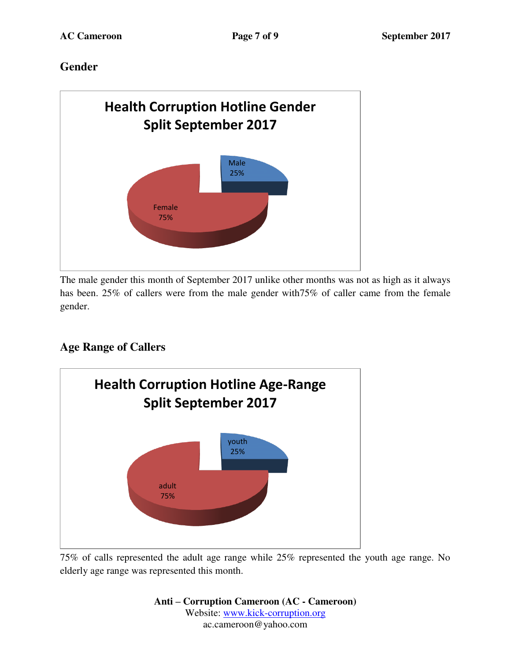# **Gender**



The male gender this month of September 2017 unlike other months was not as high as it always has been. 25% of callers were from the male gender with  $75\%$  of caller came from the female gender.

# **Age Range of Callers**



75% of calls represented the adult age range while 25% represented the youth age range. No elderly age range was represented this month.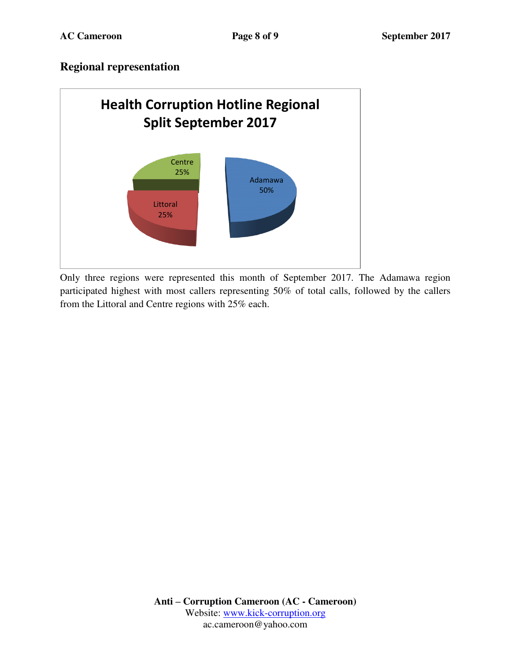### **Regional representation**



Only three regions were represented this month of September 2017. The Adamawa region participated highest with most callers representing 50% of total calls, followed by the callers from the Littoral and Centre regions with 25% each.